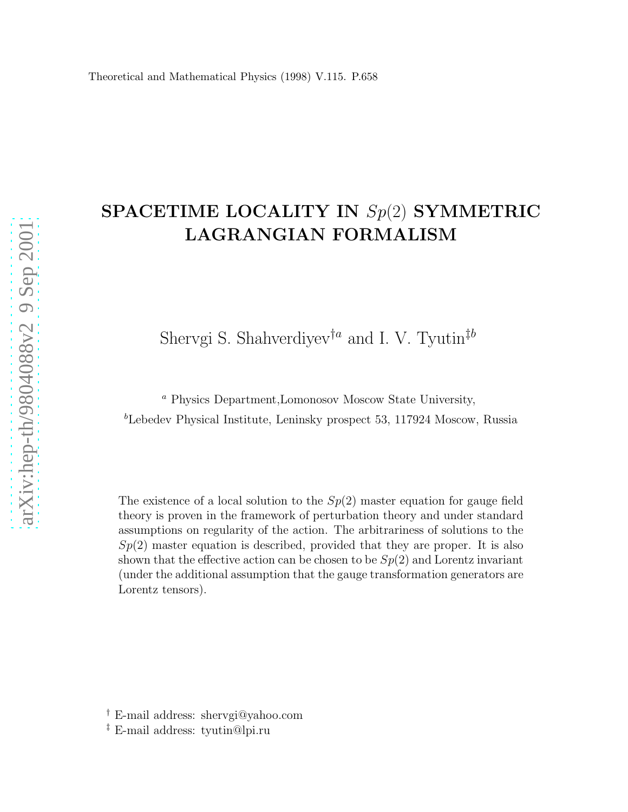# SPACETIME LOCALITY IN Sp(2) SYMMETRIC LAGRANGIAN FORMALISM

Shervgi S. Shahverdiyev<sup>†a</sup> and I. V. Tyutin<sup>‡b</sup>

<sup>a</sup> Physics Department,Lomonosov Moscow State University,  $b$ Lebedev Physical Institute, Leninsky prospect 53, 117924 Moscow, Russia

The existence of a local solution to the  $Sp(2)$  master equation for gauge field theory is proven in the framework of perturbation theory and under standard assumptions on regularity of the action. The arbitrariness of solutions to the  $Sp(2)$  master equation is described, provided that they are proper. It is also shown that the effective action can be chosen to be  $Sp(2)$  and Lorentz invariant (under the additional assumption that the gauge transformation generators are Lorentz tensors).

<sup>†</sup> E-mail address: shervgi@yahoo.com

<sup>‡</sup> E-mail address: tyutin@lpi.ru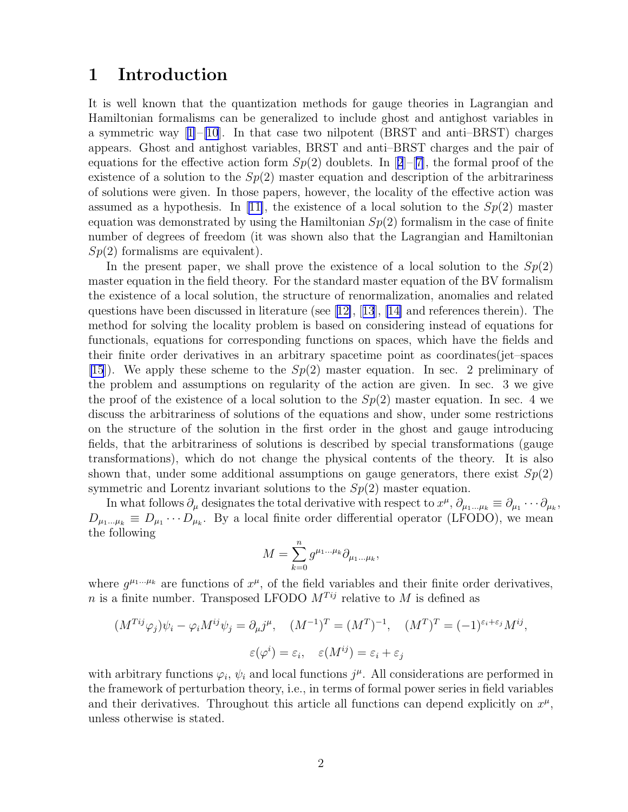### 1 Introduction

It is well known that the quantization methods for gauge theories in Lagrangian and Hamiltonian formalisms can be generalized to include ghost and antighost variables in a symmetric way  $|1|$ – $|10|$ . In that case two nilpotent (BRST and anti–BRST) charges appears. Ghost and antighost variables, BRST and anti–BRST charges and the pair of equationsfor the effective action form  $Sp(2)$  $Sp(2)$  $Sp(2)$  doublets. In [2]–[[7\]](#page-12-0), the formal proof of the existence of a solution to the  $Sp(2)$  master equation and description of the arbitrariness of solutions were given. In those papers, however, the locality of the effective action was assumedas a hypothesis. In [[11\]](#page-12-0), the existence of a local solution to the  $Sp(2)$  master equation was demonstrated by using the Hamiltonian  $Sp(2)$  formalism in the case of finite number of degrees of freedom (it was shown also that the Lagrangian and Hamiltonian  $Sp(2)$  formalisms are equivalent).

In the present paper, we shall prove the existence of a local solution to the  $Sp(2)$ master equation in the field theory. For the standard master equation of the BV formalism the existence of a local solution, the structure of renormalization, anomalies and related questions have been discussed in literature (see[[12\]](#page-12-0),[[13](#page-12-0)], [\[14\]](#page-12-0) and references therein). The method for solving the locality problem is based on considering instead of equations for functionals, equations for corresponding functions on spaces, which have the fields and their finite order derivatives in an arbitrary spacetime point as coordinates(jet–spaces [\[15](#page-12-0)]). We apply these scheme to the  $Sp(2)$  master equation. In sec. 2 preliminary of the problem and assumptions on regularity of the action are given. In sec. 3 we give the proof of the existence of a local solution to the  $Sp(2)$  master equation. In sec. 4 we discuss the arbitrariness of solutions of the equations and show, under some restrictions on the structure of the solution in the first order in the ghost and gauge introducing fields, that the arbitrariness of solutions is described by special transformations (gauge transformations), which do not change the physical contents of the theory. It is also shown that, under some additional assumptions on gauge generators, there exist  $Sp(2)$ symmetric and Lorentz invariant solutions to the  $Sp(2)$  master equation.

In what follows  $\partial_\mu$  designates the total derivative with respect to  $x^\mu$ ,  $\partial_{\mu_1...\mu_k} \equiv \partial_{\mu_1} \cdots \partial_{\mu_k}$ ,  $D_{\mu_1...\mu_k} \equiv D_{\mu_1} \cdots D_{\mu_k}$ . By a local finite order differential operator (LFODO), we mean the following

$$
M = \sum_{k=0}^{n} g^{\mu_1 \dots \mu_k} \partial_{\mu_1 \dots \mu_k},
$$

where  $g^{\mu_1...\mu_k}$  are functions of  $x^{\mu}$ , of the field variables and their finite order derivatives, n is a finite number. Transposed LFODO  $M^{Tij}$  relative to M is defined as

$$
(M^{Tij}\varphi_j)\psi_i - \varphi_i M^{ij}\psi_j = \partial_\mu j^\mu, \quad (M^{-1})^T = (M^T)^{-1}, \quad (M^T)^T = (-1)^{\varepsilon_i + \varepsilon_j} M^{ij},
$$

$$
\varepsilon(\varphi^i) = \varepsilon_i, \quad \varepsilon(M^{ij}) = \varepsilon_i + \varepsilon_j
$$

with arbitrary functions  $\varphi_i$ ,  $\psi_i$  and local functions  $j^{\mu}$ . All considerations are performed in the framework of perturbation theory, i.e., in terms of formal power series in field variables and their derivatives. Throughout this article all functions can depend explicitly on  $x^{\mu}$ , unless otherwise is stated.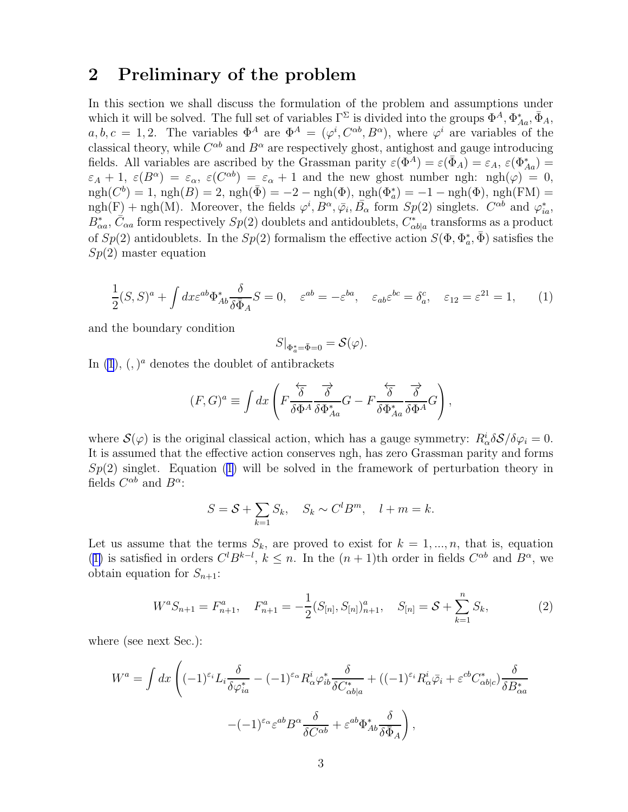### <span id="page-2-0"></span>2 Preliminary of the problem

In this section we shall discuss the formulation of the problem and assumptions under which it will be solved. The full set of variables  $\Gamma^{\Sigma}$  is divided into the groups  $\Phi^{A}$ ,  $\Phi_{A}^{*}$ ,  $\bar{\Phi}_{A}$ ,  $a, b, c = 1, 2$ . The variables  $\Phi^A$  are  $\Phi^A = (\varphi^i, C^{\alpha b}, B^{\alpha})$ , where  $\varphi^i$  are variables of the classical theory, while  $C^{\alpha b}$  and  $B^{\alpha}$  are respectively ghost, antighost and gauge introducing fields. All variables are ascribed by the Grassman parity  $\varepsilon(\Phi^A) = \varepsilon(\bar{\Phi}_A) = \varepsilon_A$ ,  $\varepsilon(\Phi^*_{Aa}) =$  $\varepsilon_A + 1$ ,  $\varepsilon(B^{\alpha}) = \varepsilon_{\alpha}$ ,  $\varepsilon(C^{\alpha b}) = \varepsilon_{\alpha} + 1$  and the new ghost number ngh: ngh( $\varphi$ ) = 0,  $ngh(C^b) = 1$ ,  $ngh(B) = 2$ ,  $ngh(\bar{\Phi}) = -2 - ngh(\Phi)$ ,  $ngh(\Phi_a^*) = -1 - ngh(\Phi)$ ,  $ngh(FM) =$  $ngh(F) + ngh(M)$ . Moreover, the fields  $\varphi^i, B^\alpha, \overline{\varphi}_i, \overline{B_\alpha}$  form  $Sp(2)$  singlets.  $C^{\alpha b}$  and  $\varphi_{ia}^*$ ,  $B_{\alpha a}^*, \bar{C}_{\alpha a}$  form respectively  $Sp(2)$  doublets and antidoublets,  $C_{\alpha b|a}^*$  transforms as a product of  $Sp(2)$  antidoublets. In the  $Sp(2)$  formalism the effective action  $S(\Phi, \Phi_a^*, \bar{\Phi})$  satisfies the  $Sp(2)$  master equation

$$
\frac{1}{2}(S,S)^{a} + \int dx \varepsilon^{ab} \Phi_{Ab}^{*} \frac{\delta}{\delta \bar{\Phi}_{A}} S = 0, \quad \varepsilon^{ab} = -\varepsilon^{ba}, \quad \varepsilon_{ab} \varepsilon^{bc} = \delta_{a}^{c}, \quad \varepsilon_{12} = \varepsilon^{21} = 1, \tag{1}
$$

and the boundary condition

$$
S|_{\Phi^*_{a} = \bar{\Phi} = 0} = \mathcal{S}(\varphi).
$$

In  $(1)$ ,  $($ ,  $)^{a}$  denotes the doublet of antibrackets

$$
(F,G)^a \equiv \int dx \left( F \frac{\overleftarrow{\delta} \overrightarrow{\delta}}{\delta \Phi^A \overrightarrow{\delta \Phi^*_{Aa}}} G - F \frac{\overleftarrow{\delta} \overrightarrow{\delta}}{\delta \Phi^*_{Aa} \overrightarrow{\delta \Phi^A}} G \right),
$$

where  $\mathcal{S}(\varphi)$  is the original classical action, which has a gauge symmetry:  $R^i_\alpha \delta \mathcal{S}/\delta \varphi_i = 0$ . It is assumed that the effective action conserves ngh, has zero Grassman parity and forms  $Sp(2)$  singlet. Equation (1) will be solved in the framework of perturbation theory in fields  $C^{\alpha b}$  and  $B^{\alpha}$ :

$$
S = \mathcal{S} + \sum_{k=1} S_k, \quad S_k \sim C^l B^m, \quad l + m = k.
$$

Let us assume that the terms  $S_k$ , are proved to exist for  $k = 1, ..., n$ , that is, equation (1) is satisfied in orders  $C^{l}B^{k-l}$ ,  $k \leq n$ . In the  $(n + 1)$ th order in fields  $C^{\alpha b}$  and  $B^{\alpha}$ , we obtain equation for  $S_{n+1}$ :

$$
W^{a}S_{n+1} = F^{a}_{n+1}, \quad F^{a}_{n+1} = -\frac{1}{2}(S_{[n]}, S_{[n]})^{a}_{n+1}, \quad S_{[n]} = \mathcal{S} + \sum_{k=1}^{n} S_{k}, \tag{2}
$$

where (see next Sec.):

$$
W^{a} = \int dx \left( (-1)^{\varepsilon_{i}} L_{i} \frac{\delta}{\delta \varphi_{ia}^{*}} - (-1)^{\varepsilon_{\alpha}} R_{\alpha}^{i} \varphi_{ib}^{*} \frac{\delta}{\delta C_{\alpha b|a}^{*}} + ((-1)^{\varepsilon_{i}} R_{\alpha}^{i} \bar{\varphi}_{i} + \varepsilon^{cb} C_{\alpha b|c}^{*}) \frac{\delta}{\delta B_{\alpha a}^{*}}
$$

$$
- (-1)^{\varepsilon_{\alpha}} \varepsilon^{ab} B^{\alpha} \frac{\delta}{\delta C^{\alpha b}} + \varepsilon^{ab} \Phi_{Ab}^{*} \frac{\delta}{\delta \bar{\Phi}_{A}} \right),
$$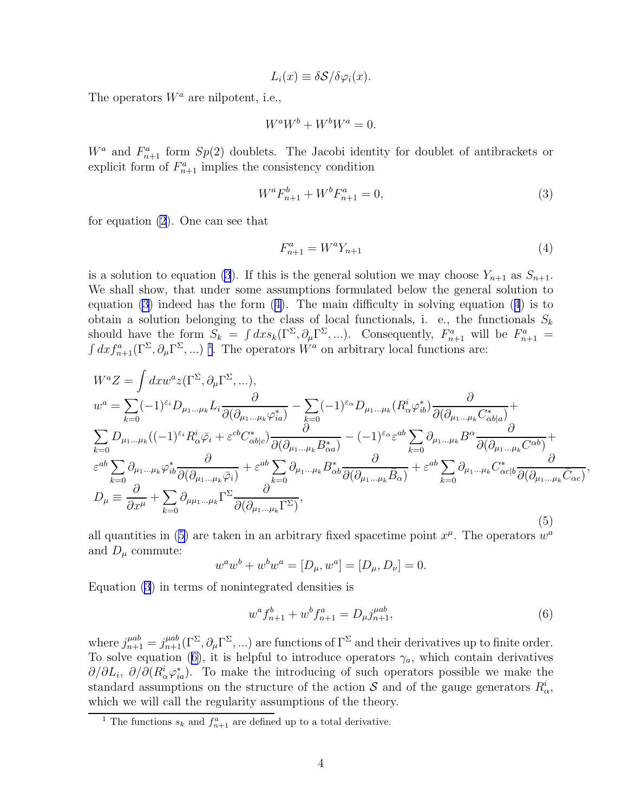$$
L_i(x) \equiv \delta S / \delta \varphi_i(x).
$$

<span id="page-3-0"></span>The operators  $W^a$  are nilpotent, i.e.,

$$
W^a W^b + W^b W^a = 0.
$$

 $W^a$  and  $F^a_{n+1}$  form  $Sp(2)$  doublets. The Jacobi identity for doublet of antibrackets or explicit form of  $F_{n+1}^a$  implies the consistency condition

$$
W^a F_{n+1}^b + W^b F_{n+1}^a = 0,\t\t(3)
$$

for equation [\(2](#page-2-0)). One can see that

$$
F_{n+1}^a = W^a Y_{n+1} \tag{4}
$$

,

is a solution to equation (3). If this is the general solution we may choose  $Y_{n+1}$  as  $S_{n+1}$ . We shall show, that under some assumptions formulated below the general solution to equation  $(3)$  indeed has the form  $(4)$ . The main difficulty in solving equation  $(4)$  is to obtain a solution belonging to the class of local functionals, i. e., the functionals  $S_k$ should have the form  $S_k = \int dx s_k(\Gamma^{\Sigma}, \partial_\mu \Gamma^{\Sigma}, ...)$ . Consequently,  $F_{n+1}^a$  will be  $F_{n+1}^a =$  $\int dx f_{n+1}^a(\Gamma^{\Sigma}, \partial_\mu \Gamma^{\Sigma}, ...)$ <sup>1</sup>. The operators  $W^a$  on arbitrary local functions are:

$$
W^{a}Z = \int dx w^{a} z (\Gamma^{\Sigma}, \partial_{\mu} \Gamma^{\Sigma}, \dots),
$$
  
\n
$$
w^{a} = \sum_{k=0} (-1)^{\varepsilon_{i}} D_{\mu_{1} \dots \mu_{k}} L_{i} \frac{\partial}{\partial(\partial_{\mu_{1} \dots \mu_{k}} \varphi_{ia}^{*})} - \sum_{k=0} (-1)^{\varepsilon_{\alpha}} D_{\mu_{1} \dots \mu_{k}} (R_{\alpha}^{i} \varphi_{ib}^{*}) \frac{\partial}{\partial(\partial_{\mu_{1} \dots \mu_{k}} C_{\alpha b|a}^{*})} +
$$
  
\n
$$
\sum_{k=0} D_{\mu_{1} \dots \mu_{k}} ((-1)^{\varepsilon_{i}} R_{\alpha}^{i} \bar{\varphi}_{i} + \varepsilon^{cb} C_{\alpha b|c}^{*}) \frac{\partial}{\partial(\partial_{\mu_{1} \dots \mu_{k}} B_{\alpha a}^{*})} - (-1)^{\varepsilon_{\alpha}} \varepsilon^{ab} \sum_{k=0} \partial_{\mu_{1} \dots \mu_{k}} B^{\alpha} \frac{\partial}{\partial(\partial_{\mu_{1} \dots \mu_{k}} C^{\alpha b})} +
$$
  
\n
$$
\varepsilon^{ab} \sum_{k=0} \partial_{\mu_{1} \dots \mu_{k}} \varphi_{ib}^{*} \frac{\partial}{\partial(\partial_{\mu_{1} \dots \mu_{k}} \bar{\varphi}_{i})} + \varepsilon^{ab} \sum_{k=0} \partial_{\mu_{1} \dots \mu_{k}} B_{\alpha b}^{*} \frac{\partial}{\partial(\partial_{\mu_{1} \dots \mu_{k}} \bar{B}_{\alpha})} + \varepsilon^{ab} \sum_{k=0} \partial_{\mu_{1} \dots \mu_{k}} C_{\alpha c|b}^{*} \frac{\partial}{\partial(\partial_{\mu_{1} \dots \mu_{k}} \bar{C}_{\alpha c})}
$$
  
\n
$$
D_{\mu} \equiv \frac{\partial}{\partial x^{\mu}} + \sum_{k=0} \partial_{\mu_{\mu_{1} \dots \mu_{k}} \Gamma^{\Sigma}} \frac{\partial}{\partial(\partial_{\mu_{1} \dots \mu_{k}} \Gamma^{\Sigma})},
$$
  
\n(5)

all quantities in (5) are taken in an arbitrary fixed spacetime point  $x^{\mu}$ . The operators  $w^{a}$ and  $D_{\mu}$  commute:

$$
w^{a}w^{b} + w^{b}w^{a} = [D_{\mu}, w^{a}] = [D_{\mu}, D_{\nu}] = 0.
$$

Equation (3) in terms of nonintegrated densities is

$$
w^a f_{n+1}^b + w^b f_{n+1}^a = D_\mu j_{n+1}^{\mu ab},\tag{6}
$$

where  $j_{n+1}^{\mu ab} = j_{n+1}^{\mu ab}(\Gamma^{\Sigma}, \partial_{\mu} \Gamma^{\Sigma}, ...)$  are functions of  $\Gamma^{\Sigma}$  and their derivatives up to finite order. To solve equation (6), it is helpful to introduce operators  $\gamma_a$ , which contain derivatives  $\partial/\partial L_i$ ,  $\partial/\partial (R^i_{\alpha} \varphi_{ia}^*)$ . To make the introducing of such operators possible we make the standard assumptions on the structure of the action  $\mathcal S$  and of the gauge generators  $R^i_\alpha$ , which we will call the regularity assumptions of the theory.

<sup>&</sup>lt;sup>1</sup> The functions  $s_k$  and  $f_{n+1}^a$  are defined up to a total derivative.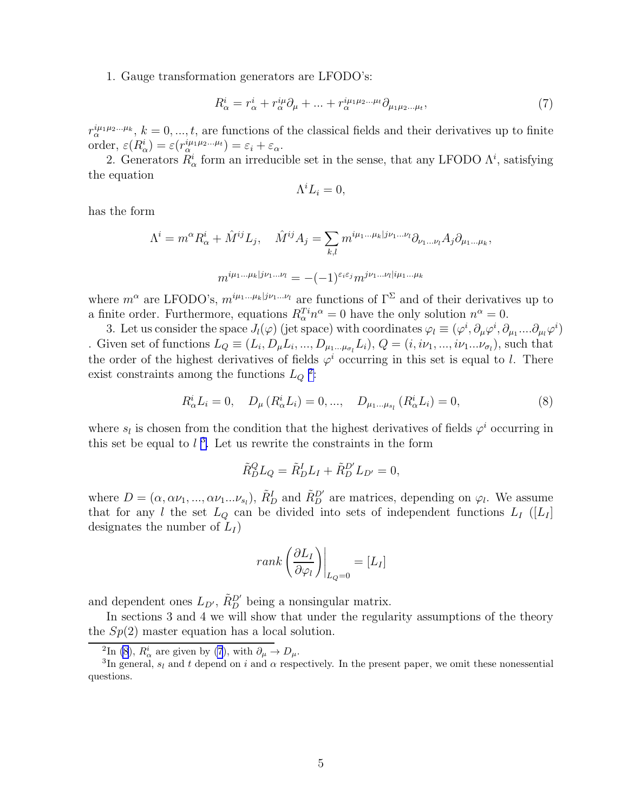1. Gauge transformation generators are LFODO's:

$$
R^i_{\alpha} = r^i_{\alpha} + r^{i\mu}_{\alpha}\partial_{\mu} + \dots + r^{i\mu_1\mu_2\dots\mu_t}_{\alpha}\partial_{\mu_1\mu_2\dots\mu_t},\tag{7}
$$

 $r_\alpha^{i\mu_1\mu_2...\mu_k}, k=0,...,t$ , are functions of the classical fields and their derivatives up to finite order,  $\varepsilon(R^i_\alpha) = \varepsilon(r^{i\mu_1\mu_2\ldots\mu_t}_\alpha) = \varepsilon_i + \varepsilon_\alpha.$ 

2. Generators  $R^i_\alpha$  form an irreducible set in the sense, that any LFODO  $\Lambda^i$ , satisfying the equation

$$
\Lambda^i L_i = 0,
$$

has the form

$$
\Lambda^{i} = m^{\alpha} R_{\alpha}^{i} + \hat{M}^{ij} L_{j}, \quad \hat{M}^{ij} A_{j} = \sum_{k,l} m^{i\mu_{1} \dots \mu_{k} | j\nu_{1} \dots \nu_{l}} \partial_{\nu_{1} \dots \nu_{l}} A_{j} \partial_{\mu_{1} \dots \mu_{k}},
$$

$$
m^{i\mu_{1} \dots \mu_{k} | j\nu_{1} \dots \nu_{l}} = -(-1)^{\varepsilon_{i} \varepsilon_{j}} m^{j\nu_{1} \dots \nu_{l} | i\mu_{1} \dots \mu_{k}}
$$

where  $m^{\alpha}$  are LFODO's,  $m^{i\mu_1...\mu_k|j\nu_1...\nu_l}$  are functions of  $\Gamma^{\Sigma}$  and of their derivatives up to a finite order. Furthermore, equations  $R_{\alpha}^{T_i} n^{\alpha} = 0$  have the only solution  $n^{\alpha} = 0$ .

3. Let us consider the space  $J_l(\varphi)$  (jet space) with coordinates  $\varphi_l \equiv (\varphi^i, \partial_\mu \varphi^i, \partial_{\mu_1} \dots \partial_{\mu_l} \varphi^i)$ . Given set of functions  $L_Q \equiv (L_i, D_\mu L_i, ..., D_{\mu_1...\mu_{\sigma_l}} L_i), Q = (i, i\nu_1, ..., i\nu_1... \nu_{\sigma_l}),$  such that the order of the highest derivatives of fields  $\varphi^i$  occurring in this set is equal to l. There exist constraints among the functions  $L_Q$ <sup>2</sup>:

$$
R_{\alpha}^{i}L_{i}=0, \quad D_{\mu}(R_{\alpha}^{i}L_{i})=0,..., \quad D_{\mu_{1}...\mu_{s_{l}}}(R_{\alpha}^{i}L_{i})=0,
$$
\n(8)

where  $s_l$  is chosen from the condition that the highest derivatives of fields  $\varphi^i$  occurring in this set be equal to  $l<sup>3</sup>$ . Let us rewrite the constraints in the form

$$
\tilde{R}_D^Q L_Q = \tilde{R}_D^I L_I + \tilde{R}_D^{D'} L_{D'} = 0,
$$

where  $D = (\alpha, \alpha\nu_1, ..., \alpha\nu_1... \nu_{s_l}), \tilde{R}_{D}^{I}$  and  $\tilde{R}_{D}^{D'}$  are matrices, depending on  $\varphi_l$ . We assume that for any l the set  $L_Q$  can be divided into sets of independent functions  $L_I$  ([ $L_I$ ] designates the number of  $L_I$ )

$$
rank\left(\frac{\partial L_I}{\partial \varphi_l}\right)\bigg|_{L_Q=0} = [L_I]
$$

and dependent ones  $L_{D'}$ ,  $\tilde{R}_{D}^{D'}$  being a nonsingular matrix.

In sections 3 and 4 we will show that under the regularity assumptions of the theory the  $Sp(2)$  master equation has a local solution.

<sup>&</sup>lt;sup>2</sup>In (8),  $R^i_\alpha$  are given by (7), with  $\partial_\mu \to D_\mu$ .

<sup>&</sup>lt;sup>3</sup>In general,  $s_l$  and t depend on i and  $\alpha$  respectively. In the present paper, we omit these nonessential questions.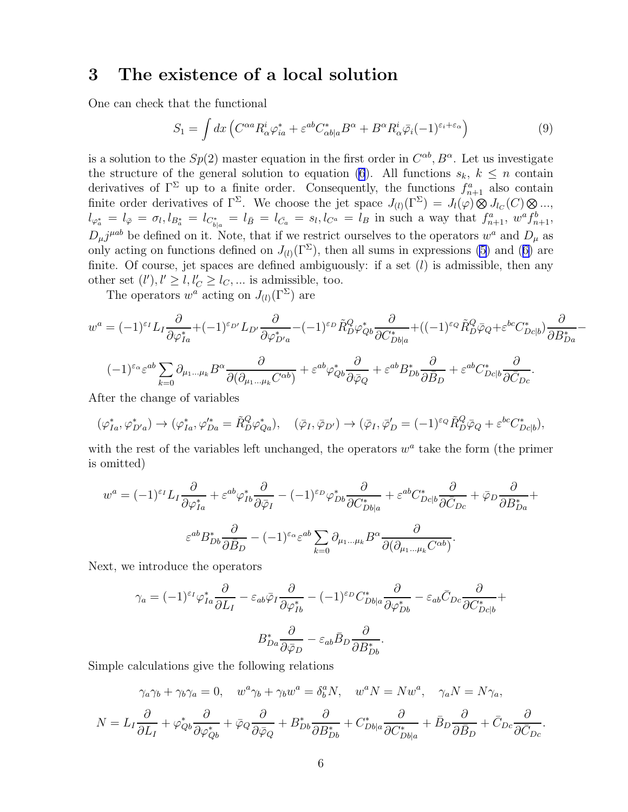### <span id="page-5-0"></span>3 The existence of a local solution

One can check that the functional

$$
S_1 = \int dx \left( C^{\alpha a} R^i_{\alpha} \varphi^*_{ia} + \varepsilon^{ab} C^*_{\alpha b|a} B^{\alpha} + B^{\alpha} R^i_{\alpha} \bar{\varphi}_i (-1)^{\varepsilon_i + \varepsilon_{\alpha}} \right) \tag{9}
$$

is a solution to the  $Sp(2)$  master equation in the first order in  $C^{\alpha b}$ ,  $B^{\alpha}$ . Let us investigate the structure of the general solution to equation [\(6](#page-3-0)). All functions  $s_k, k \leq n$  contain derivatives of  $\Gamma^{\Sigma}$  up to a finite order. Consequently, the functions  $f_{n+1}^{a}$  also contain finite order derivatives of  $\Gamma^{\Sigma}$ . We choose the jet space  $J_{(l)}(\Gamma^{\Sigma}) = J_{l}(\varphi) \otimes J_{l_{C}}(C) \otimes ...$  $l_{\varphi_a^*} = l_{\bar{\varphi}} = \sigma_l, l_{B_a^*} = l_{C_{b|a}^*} = l_{\bar{B}} = l_{\bar{C}_a} = s_l, l_{C^a} = l_B$  in such a way that  $f_{n+1}^a$ ,  $w^a f_{n+1}^b$ ,  $D_{\mu}j^{\mu ab}$  be defined on it. Note, that if we restrict ourselves to the operators  $w^a$  and  $D_{\mu}$  as onlyacting on functions defined on  $J_{(l)}(\Gamma^{\Sigma})$ , then all sums in expressions [\(5](#page-3-0)) and ([6\)](#page-3-0) are finite. Of course, jet spaces are defined ambiguously: if a set  $(l)$  is admissible, then any other set  $(l')$ ,  $l' \ge l$ ,  $l'_{C} \ge l_{C}$ , ... is admissible, too.

The operators  $w^a$  acting on  $J_{(l)}(\Gamma^{\Sigma})$  are

$$
w^{a} = (-1)^{\varepsilon_{I}} L_{I} \frac{\partial}{\partial \varphi_{Ia}^{*}} + (-1)^{\varepsilon_{D'}} L_{D'} \frac{\partial}{\partial \varphi_{D'a}^{*}} - (-1)^{\varepsilon_{D}} \tilde{R}_{D}^{Q} \varphi_{Qb}^{*} \frac{\partial}{\partial C_{Db|a}^{*}} + ((-1)^{\varepsilon_{Q}} \tilde{R}_{D}^{Q} \bar{\varphi}_{Q} + \varepsilon^{bc} C_{Dc|b}^{*}) \frac{\partial}{\partial B_{Da}^{*}} - (-1)^{\varepsilon_{Q}} \varepsilon^{ab} \sum_{k=0}^{\varepsilon_{D}} \partial_{\mu_{1}...\mu_{k}} B^{\alpha} \frac{\partial}{\partial (\partial_{\mu_{1}...\mu_{k}} C^{\alpha b})} + \varepsilon^{ab} \varphi_{Qb}^{*} \frac{\partial}{\partial \bar{\varphi}_{Q}} + \varepsilon^{ab} B_{Db}^{*} \frac{\partial}{\partial \bar{B}_{D}} + \varepsilon^{ab} C_{Dc|b}^{*} \frac{\partial}{\partial \bar{C}_{Dc}}.
$$

After the change of variables

$$
(\varphi_{Ia}^*, \varphi_{D'a}^*) \to (\varphi_{Ia}^*, \varphi_{Da}^{\prime*} = \tilde{R}_{D}^{Q} \varphi_{Qa}^*), \quad (\bar{\varphi}_{I}, \bar{\varphi}_{D'}) \to (\bar{\varphi}_{I}, \bar{\varphi}_{D}^{\prime} = (-1)^{\varepsilon_Q} \tilde{R}_{D}^{Q} \bar{\varphi}_Q + \varepsilon^{bc} C_{Dc|b}^*),
$$

with the rest of the variables left unchanged, the operators  $w<sup>a</sup>$  take the form (the primer is omitted)

$$
w^{a} = (-1)^{\varepsilon_{I}} L_{I} \frac{\partial}{\partial \varphi_{Ia}^{*}} + \varepsilon^{ab} \varphi_{Ib}^{*} \frac{\partial}{\partial \bar{\varphi}_{I}} - (-1)^{\varepsilon_{D}} \varphi_{Db}^{*} \frac{\partial}{\partial C_{Db|a}^{*}} + \varepsilon^{ab} C_{Dc|b}^{*} \frac{\partial}{\partial \bar{C}_{Dc}} + \bar{\varphi}_{D} \frac{\partial}{\partial B_{Da}^{*}} + \varepsilon^{ab} B_{\bar{D}b} \frac{\partial}{\partial \bar{B}_{Da}} + \varepsilon^{ab} B_{\bar{D}b} \frac{\partial}{\partial \bar{B}_{Db}} - (-1)^{\varepsilon_{\alpha}} \varepsilon^{ab} \sum_{k=0}^{\infty} \partial_{\mu_{1}...\mu_{k}} B^{\alpha} \frac{\partial}{\partial (\partial_{\mu_{1}...\mu_{k}} C^{\alpha b})}.
$$

Next, we introduce the operators

$$
\gamma_a = (-1)^{\varepsilon_I} \varphi_{Ia}^* \frac{\partial}{\partial L_I} - \varepsilon_{ab} \bar{\varphi}_I \frac{\partial}{\partial \varphi_{Ib}^*} - (-1)^{\varepsilon_D} C_{Db|a}^* \frac{\partial}{\partial \varphi_{Db}^*} - \varepsilon_{ab} \bar{C}_{Dc} \frac{\partial}{\partial C_{Dc|b}^*} +
$$

$$
B_{Da}^* \frac{\partial}{\partial \bar{\varphi}_D} - \varepsilon_{ab} \bar{B}_D \frac{\partial}{\partial B_{Db}^*}.
$$

Simple calculations give the following relations

$$
\gamma_a \gamma_b + \gamma_b \gamma_a = 0, \quad w^a \gamma_b + \gamma_b w^a = \delta_b^a N, \quad w^a N = N w^a, \quad \gamma_a N = N \gamma_a,
$$

$$
N = L_I \frac{\partial}{\partial L_I} + \varphi_{Qb}^* \frac{\partial}{\partial \varphi_{Qb}^*} + \bar{\varphi}_Q \frac{\partial}{\partial \bar{\varphi}_Q} + B_{Db}^* \frac{\partial}{\partial B_{Db}^*} + C_{Db|a}^* \frac{\partial}{\partial C_{Db|a}} + \bar{B}_D \frac{\partial}{\partial \bar{B}_D} + \bar{C}_{Dc} \frac{\partial}{\partial \bar{C}_{Dc}}.
$$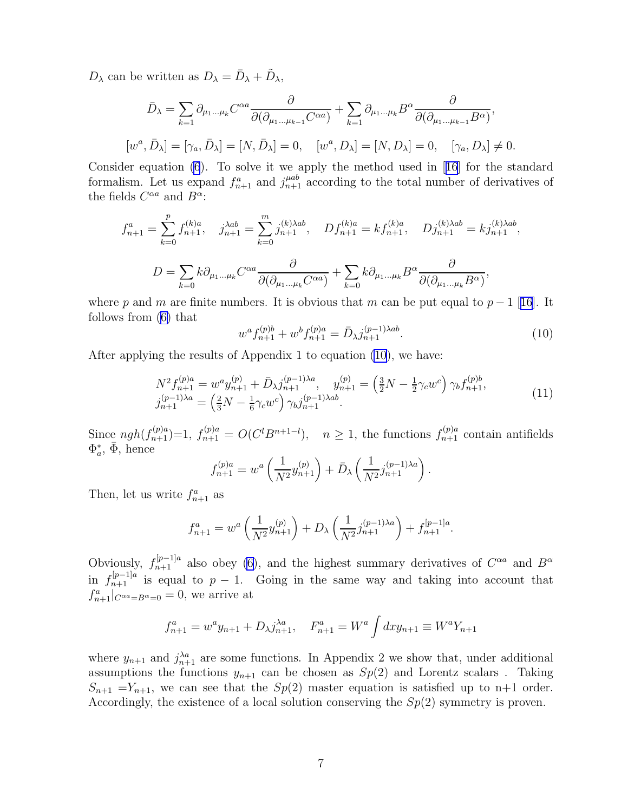<span id="page-6-0"></span> $D_{\lambda}$  can be written as  $D_{\lambda} = \bar{D}_{\lambda} + \tilde{D}_{\lambda}$ ,

$$
\bar{D}_{\lambda} = \sum_{k=1} \partial_{\mu_1 \dots \mu_k} C^{\alpha a} \frac{\partial}{\partial (\partial_{\mu_1 \dots \mu_{k-1}} C^{\alpha a})} + \sum_{k=1} \partial_{\mu_1 \dots \mu_k} B^{\alpha} \frac{\partial}{\partial (\partial_{\mu_1 \dots \mu_{k-1}} B^{\alpha})},
$$
  
\n
$$
[w^a, \bar{D}_{\lambda}] = [\gamma_a, \bar{D}_{\lambda}] = [N, \bar{D}_{\lambda}] = 0, \quad [w^a, D_{\lambda}] = [N, D_{\lambda}] = 0, \quad [\gamma_a, D_{\lambda}] \neq 0.
$$

Consider equation [\(6](#page-3-0)). To solve it we apply the method used in[[16](#page-12-0)] for the standard formalism. Let us expand  $f_{n+1}^a$  and  $j_{n+1}^{\mu ab}$  according to the total number of derivatives of the fields  $C^{\alpha a}$  and  $B^{\alpha}$ :

$$
f_{n+1}^{a} = \sum_{k=0}^{p} f_{n+1}^{(k)a}, \quad j_{n+1}^{\lambda ab} = \sum_{k=0}^{m} j_{n+1}^{(k)\lambda ab}, \quad Df_{n+1}^{(k)a} = kf_{n+1}^{(k)a}, \quad Dj_{n+1}^{(k)\lambda ab} = kj_{n+1}^{(k)\lambda ab},
$$

$$
D = \sum_{k=0}^{p} k \partial_{\mu_{1}...\mu_{k}} C^{\alpha a} \frac{\partial}{\partial(\partial_{\mu_{1}...\mu_{k}} C^{\alpha a})} + \sum_{k=0}^{p} k \partial_{\mu_{1}...\mu_{k}} B^{\alpha} \frac{\partial}{\partial(\partial_{\mu_{1}...\mu_{k}} B^{\alpha})},
$$

wherep and m are finite numbers. It is obvious that m can be put equal to  $p-1$  [[16](#page-12-0)]. It follows from([6\)](#page-3-0) that

$$
w^{a} f_{n+1}^{(p)b} + w^{b} f_{n+1}^{(p)a} = \bar{D}_{\lambda} j_{n+1}^{(p-1)\lambda ab}.
$$
\n(10)

After applying the results of Appendix 1 to equation (10), we have:

$$
N^{2} f_{n+1}^{(p)a} = w^{a} y_{n+1}^{(p)} + \bar{D}_{\lambda} j_{n+1}^{(p-1)\lambda a}, \quad y_{n+1}^{(p)} = \left(\frac{3}{2}N - \frac{1}{2}\gamma_{c}w^{c}\right) \gamma_{b} f_{n+1}^{(p)b},
$$
  
\n
$$
j_{n+1}^{(p-1)\lambda a} = \left(\frac{2}{3}N - \frac{1}{6}\gamma_{c}w^{c}\right) \gamma_{b} j_{n+1}^{(p-1)\lambda a b}.
$$
\n(11)

Since  $ngh(f_{n+1}^{(p)a})=1$ ,  $f_{n+1}^{(p)a}=O(C^{l}B^{n+1-l})$ ,  $n\geq 1$ , the functions  $f_{n+1}^{(p)a}$  contain antifields  $\Phi_a^*, \bar{\Phi}, \text{ hence}$ 

$$
f_{n+1}^{(p)a} = w^a \left( \frac{1}{N^2} y_{n+1}^{(p)} \right) + \bar{D}_{\lambda} \left( \frac{1}{N^2} j_{n+1}^{(p-1)\lambda a} \right).
$$

Then, let us write  $f_{n+1}^a$  as

$$
f_{n+1}^a = w^a \left( \frac{1}{N^2} y_{n+1}^{(p)} \right) + D_\lambda \left( \frac{1}{N^2} j_{n+1}^{(p-1)\lambda a} \right) + f_{n+1}^{[p-1]a}.
$$

Obviously,  $f_{n+1}^{[p-1]a}$  also obey [\(6](#page-3-0)), and the highest summary derivatives of  $C^{\alpha a}$  and  $B^{\alpha}$ in  $f_{n+1}^{[p-1]a}$  is equal to  $p-1$ . Going in the same way and taking into account that  $f_{n+1}^a|_{C^{\alpha a}=B^{\alpha}=0} = 0$ , we arrive at

$$
f_{n+1}^a = w^a y_{n+1} + D_{\lambda} j_{n+1}^{\lambda a}, \quad F_{n+1}^a = W^a \int dx y_{n+1} \equiv W^a Y_{n+1}
$$

where  $y_{n+1}$  and  $j_{n+1}^{\lambda a}$  are some functions. In Appendix 2 we show that, under additional assumptions the functions  $y_{n+1}$  can be chosen as  $Sp(2)$  and Lorentz scalars. Taking  $S_{n+1} = Y_{n+1}$ , we can see that the  $Sp(2)$  master equation is satisfied up to n+1 order. Accordingly, the existence of a local solution conserving the  $Sp(2)$  symmetry is proven.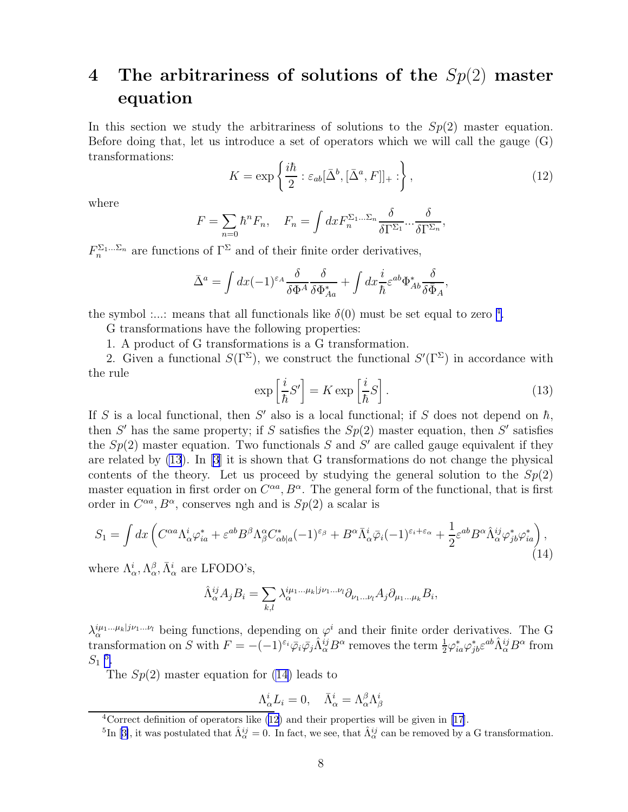# 4 The arbitrariness of solutions of the  $Sp(2)$  master equation

In this section we study the arbitrariness of solutions to the  $Sp(2)$  master equation. Before doing that, let us introduce a set of operators which we will call the gauge (G) transformations:

$$
K = \exp\left\{\frac{i\hbar}{2} : \varepsilon_{ab}[\bar{\Delta}^b, [\bar{\Delta}^a, F]]_+ : \right\},\tag{12}
$$

where

$$
F = \sum_{n=0} \hbar^n F_n, \quad F_n = \int dx F_n^{\Sigma_1...\Sigma_n} \frac{\delta}{\delta \Gamma^{\Sigma_1}} \cdots \frac{\delta}{\delta \Gamma^{\Sigma_n}},
$$

 $F_n^{\Sigma_1...\Sigma_n}$  are functions of  $\Gamma^{\Sigma}$  and of their finite order derivatives,

$$
\bar{\Delta}^a = \int dx (-1)^{\varepsilon_A} \frac{\delta}{\delta \Phi^A} \frac{\delta}{\delta \Phi^*_{Aa}} + \int dx \frac{i}{\hbar} \varepsilon^{ab} \Phi^*_{Ab} \frac{\delta}{\delta \bar{\Phi}_A},
$$

the symbol :...: means that all functionals like  $\delta(0)$  must be set equal to zero<sup>4</sup>.

G transformations have the following properties:

1. A product of G transformations is a G transformation.

2. Given a functional  $S(\Gamma^{\Sigma})$ , we construct the functional  $S'(\Gamma^{\Sigma})$  in accordance with the rule

$$
\exp\left[\frac{i}{\hbar}S'\right] = K \exp\left[\frac{i}{\hbar}S\right].\tag{13}
$$

If S is a local functional, then S' also is a local functional; if S does not depend on  $\hbar$ , then S' has the same property; if S satisfies the  $Sp(2)$  master equation, then S' satisfies the  $Sp(2)$  master equation. Two functionals S and S' are called gauge equivalent if they are related by (13). In [\[3\]](#page-12-0) it is shown that G transformations do not change the physical contents of the theory. Let us proceed by studying the general solution to the  $Sp(2)$ master equation in first order on  $C^{\alpha a}$ ,  $B^{\alpha}$ . The general form of the functional, that is first order in  $C^{\alpha a}$ ,  $B^{\alpha}$ , conserves ngh and is  $Sp(2)$  a scalar is

$$
S_1 = \int dx \left( C^{\alpha a} \Lambda^i_{\alpha} \varphi^*_{ia} + \varepsilon^{ab} B^{\beta} \Lambda^{\alpha}_{\beta} C^*_{\alpha b|a} (-1)^{\varepsilon_{\beta}} + B^{\alpha} \bar{\Lambda}^i_{\alpha} \bar{\varphi}_i (-1)^{\varepsilon_i + \varepsilon_{\alpha}} + \frac{1}{2} \varepsilon^{ab} B^{\alpha} \hat{\Lambda}^{ij}_{\alpha} \varphi^*_{jb} \varphi^*_{ia} \right), \tag{14}
$$

where  $\Lambda_{\alpha}^{i}$ ,  $\Lambda_{\alpha}^{\beta}$ ,  $\bar{\Lambda}_{\alpha}^{i}$  are LFODO's,

$$
\hat{\Lambda}_{\alpha}^{ij} A_j B_i = \sum_{k,l} \lambda_{\alpha}^{i\mu_1 \dots \mu_k | j\nu_1 \dots \nu_l} \partial_{\nu_1 \dots \nu_l} A_j \partial_{\mu_1 \dots \mu_k} B_i,
$$

 $\lambda_{\alpha}^{i\mu_1...\mu_k|j\nu_1...\nu_l}$  being functions, depending on  $\varphi^i$  and their finite order derivatives. The G transformation on S with  $F = -(-1)^{\varepsilon_i} \bar{\varphi}_i \bar{\varphi}_j \hat{\Lambda}_{\alpha}^{ij} B^{\alpha}$  removes the term  $\frac{1}{2} \varphi_{ia}^* \varphi_{jb}^* \varepsilon^{ab} \hat{\Lambda}_{\alpha}^{ij} B^{\alpha}$  from  $S_1$ <sup>5</sup>.

The  $Sp(2)$  master equation for  $(14)$  leads to

$$
\Lambda^i_{\alpha} L_i = 0, \quad \bar{\Lambda}^i_{\alpha} = \Lambda^{\beta}_{\alpha} \Lambda^i_{\beta}
$$

<sup>&</sup>lt;sup>4</sup>Correct definition of operators like  $(12)$  and their properties will be given in [\[17](#page-12-0)].

<sup>&</sup>lt;sup>5</sup>In[[3\]](#page-12-0), it was postulated that  $\hat{\Lambda}^{ij}_{\alpha} = 0$ . In fact, we see, that  $\hat{\Lambda}^{ij}_{\alpha}$  can be removed by a G transformation.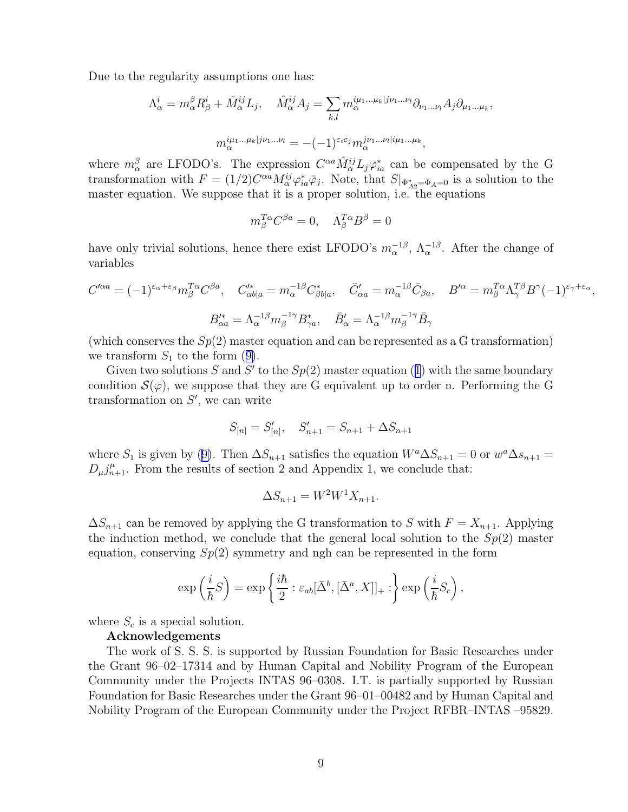Due to the regularity assumptions one has:

$$
\Lambda_{\alpha}^{i} = m_{\alpha}^{\beta} R_{\beta}^{i} + \hat{M}_{\alpha}^{ij} L_{j}, \quad \hat{M}_{\alpha}^{ij} A_{j} = \sum_{k,l} m_{\alpha}^{i\mu_{1}...\mu_{k}|j\nu_{1}...\nu_{l}} \partial_{\nu_{1}...\nu_{l}} A_{j} \partial_{\mu_{1}...\mu_{k}},
$$

$$
m_{\alpha}^{i\mu_{1}...\mu_{k}|j\nu_{1}...\nu_{l}} = -(-1)^{\varepsilon_{i}\varepsilon_{j}} m_{\alpha}^{j\nu_{1}...\nu_{l}|i\mu_{1}...\mu_{k}},
$$

where  $m_\alpha^\beta$  are LFODO's. The expression  $C^{\alpha a} \hat{M}_{\alpha}^{ij} L_j \varphi_{ia}^*$  can be compensated by the G transformation with  $F = (1/2)C^{\alpha a}M_{\alpha}^{ij}\varphi_{ia}^*\bar{\varphi}_j$ . Note, that  $S|_{\Phi_{A2}^*=\bar{\Phi}_A=0}$  is a solution to the master equation. We suppose that it is a proper solution, i.e. the equations

$$
m_{\beta}^{T\alpha}C^{\beta a} = 0, \quad \Lambda_{\beta}^{T\alpha}B^{\beta} = 0
$$

have only trivial solutions, hence there exist LFODO's  $m_{\alpha}^{-1\beta}$ ,  $\Lambda_{\alpha}^{-1\beta}$ . After the change of variables

$$
C'^{\alpha a} = (-1)^{\varepsilon_{\alpha} + \varepsilon_{\beta}} m_{\beta}^{T\alpha} C^{\beta a}, \quad C'^*_{\alpha b|a} = m_{\alpha}^{-1\beta} C^*_{\beta b|a}, \quad \bar{C}'_{\alpha a} = m_{\alpha}^{-1\beta} \bar{C}_{\beta a}, \quad B'^{\alpha} = m_{\beta}^{T\alpha} \Lambda_{\gamma}^{T\beta} B^{\gamma} (-1)^{\varepsilon_{\gamma} + \varepsilon_{\alpha}},
$$

$$
B'^*_{\alpha a} = \Lambda_{\alpha}^{-1\beta} m_{\beta}^{-1\gamma} B^*_{\gamma a}, \quad \bar{B}'_{\alpha} = \Lambda_{\alpha}^{-1\beta} m_{\beta}^{-1\gamma} \bar{B}_{\gamma}
$$

(which conserves the  $Sp(2)$  master equation and can be represented as a G transformation) wetransform  $S_1$  to the form ([9\)](#page-5-0).

Giventwo solutions S and S' to the  $Sp(2)$  master equation ([1](#page-2-0)) with the same boundary condition  $\mathcal{S}(\varphi)$ , we suppose that they are G equivalent up to order n. Performing the G transformation on  $S'$ , we can write

$$
S_{[n]} = S'_{[n]}, \quad S'_{n+1} = S_{n+1} + \Delta S_{n+1}
$$

where $S_1$  is given by ([9\)](#page-5-0). Then  $\Delta S_{n+1}$  satisfies the equation  $W^a \Delta S_{n+1} = 0$  or  $w^a \Delta s_{n+1} =$  $D_{\mu}j_{n+1}^{\mu}$ . From the results of section 2 and Appendix 1, we conclude that:

$$
\Delta S_{n+1} = W^2 W^1 X_{n+1}.
$$

 $\Delta S_{n+1}$  can be removed by applying the G transformation to S with  $F = X_{n+1}$ . Applying the induction method, we conclude that the general local solution to the  $Sp(2)$  master equation, conserving  $Sp(2)$  symmetry and ngh can be represented in the form

$$
\exp\left(\frac{i}{\hbar}S\right) = \exp\left\{\frac{i\hbar}{2} : \varepsilon_{ab}[\bar{\Delta}^b, [\bar{\Delta}^a, X]]_+ : \right\} \exp\left(\frac{i}{\hbar}S_c\right),\,
$$

where  $S_c$  is a special solution.

#### Acknowledgements

The work of S. S. S. is supported by Russian Foundation for Basic Researches under the Grant 96–02–17314 and by Human Capital and Nobility Program of the European Community under the Projects INTAS 96–0308. I.T. is partially supported by Russian Foundation for Basic Researches under the Grant 96–01–00482 and by Human Capital and Nobility Program of the European Community under the Project RFBR–INTAS –95829.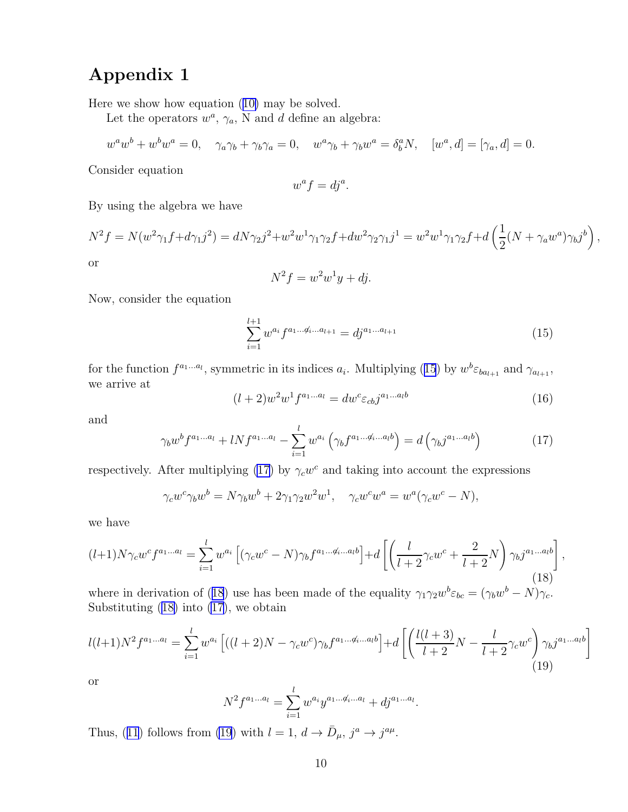## Appendix 1

Here we show how equation([10\)](#page-6-0) may be solved.

Let the operators  $w^a$ ,  $\gamma_a$ , N and d define an algebra:

$$
w^{a}w^{b} + w^{b}w^{a} = 0, \quad \gamma_{a}\gamma_{b} + \gamma_{b}\gamma_{a} = 0, \quad w^{a}\gamma_{b} + \gamma_{b}w^{a} = \delta_{b}^{a}N, \quad [w^{a}, d] = [\gamma_{a}, d] = 0.
$$

Consider equation

$$
w^a f = dj^a.
$$

By using the algebra we have

$$
N^{2}f = N(w^{2}\gamma_{1}f + d\gamma_{1}j^{2}) = dN\gamma_{2}j^{2} + w^{2}w^{1}\gamma_{1}\gamma_{2}f + dw^{2}\gamma_{2}\gamma_{1}j^{1} = w^{2}w^{1}\gamma_{1}\gamma_{2}f + d\left(\frac{1}{2}(N + \gamma_{a}w^{a})\gamma_{b}j^{b}\right)
$$
 or

$$
N^2 f = w^2 w^1 y + dj.
$$

Now, consider the equation

$$
\sum_{i=1}^{l+1} w^{a_i} f^{a_1 \dots a_{l+1}} = dj^{a_1 \dots a_{l+1}} \tag{15}
$$

,

for the function  $f^{a_1...a_l}$ , symmetric in its indices  $a_i$ . Multiplying (15) by  $w^b \varepsilon_{ba_{l+1}}$  and  $\gamma_{a_{l+1}}$ , we arrive at

$$
(l+2)w2w1fa1...al = dwc \varepsilon_{cb} ja1...alb
$$
\n(16)

and

$$
\gamma_b w^b f^{a_1 \dots a_l} + l N f^{a_1 \dots a_l} - \sum_{i=1}^l w^{a_i} \left( \gamma_b f^{a_1 \dots a_i b} \right) = d \left( \gamma_b j^{a_1 \dots a_l b} \right) \tag{17}
$$

respectively. After multiplying (17) by  $\gamma_c w^c$  and taking into account the expressions

$$
\gamma_c w^c \gamma_b w^b = N \gamma_b w^b + 2 \gamma_1 \gamma_2 w^2 w^1, \quad \gamma_c w^c w^a = w^a (\gamma_c w^c - N),
$$

we have

$$
(l+1)N\gamma_c w^c f^{a_1...a_l} = \sum_{i=1}^l w^{a_i} \left[ (\gamma_c w^c - N)\gamma_b f^{a_1...a_i...a_l b} \right] + d \left[ \left( \frac{l}{l+2} \gamma_c w^c + \frac{2}{l+2} N \right) \gamma_b j^{a_1...a_l b} \right],
$$
\n(18)

where in derivation of (18) use has been made of the equality  $\gamma_1 \gamma_2 w^b \varepsilon_{bc} = (\gamma_b w^b - N) \gamma_c$ . Substituting (18) into (17), we obtain

$$
l(l+1)N^{2}f^{a_{1}...a_{l}} = \sum_{i=1}^{l} w^{a_{i}} \left[ ((l+2)N - \gamma_{c}w^{c})\gamma_{b}f^{a_{1}...a_{i}...a_{l}b} \right] + d \left[ \left( \frac{l(l+3)}{l+2}N - \frac{l}{l+2}\gamma_{c}w^{c} \right) \gamma_{b}j^{a_{1}...a_{l}b} \right]
$$
\n(19)

or

$$
N^{2} f^{a_{1}...a_{l}} = \sum_{i=1}^{l} w^{a_{i}} y^{a_{1}...a_{i}...a_{l}} + dj^{a_{1}...a_{l}}.
$$

Thus,([11](#page-6-0)) follows from (19) with  $l = 1, d \rightarrow \bar{D}_{\mu}, j^a \rightarrow j^{a\mu}$ .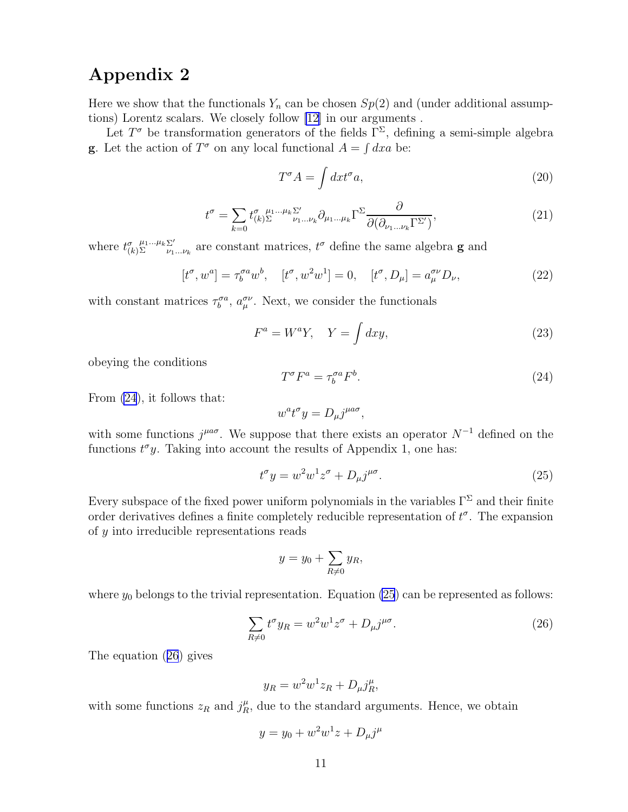## <span id="page-10-0"></span>Appendix 2

Here we show that the functionals  $Y_n$  can be chosen  $Sp(2)$  and (under additional assumptions) Lorentz scalars. We closely follow [\[12\]](#page-12-0) in our arguments .

Let  $T^{\sigma}$  be transformation generators of the fields  $\Gamma^{\Sigma}$ , defining a semi-simple algebra **g**. Let the action of  $T^{\sigma}$  on any local functional  $A = \int dx a$  be:

$$
T^{\sigma} A = \int dx t^{\sigma} a,\tag{20}
$$

$$
t^{\sigma} = \sum_{k=0} t^{\sigma}_{(k)\Sigma}^{\mu_1...\mu_k\Sigma'} \partial_{\mu_1...\mu_k} \Gamma^{\Sigma} \frac{\partial}{\partial(\partial_{\nu_1...\nu_k} \Gamma^{\Sigma'})},\tag{21}
$$

where  $t^{\sigma}_{(k)}$  $\frac{\mu_1...\mu_k \sum'}{\nu_1}$  $\sum_{\nu_1...\nu_k}^{\sum'}$  are constant matrices,  $t^{\sigma}$  define the same algebra **g** and

$$
[t^{\sigma}, w^a] = \tau_b^{\sigma a} w^b, \quad [t^{\sigma}, w^2 w^1] = 0, \quad [t^{\sigma}, D_{\mu}] = a_{\mu}^{\sigma \nu} D_{\nu}, \tag{22}
$$

with constant matrices  $\tau_b^{\sigma a}$ ,  $a_\mu^{\sigma \nu}$ . Next, we consider the functionals

$$
F^a = W^a Y, \quad Y = \int dx y,
$$
\n(23)

obeying the conditions

$$
T^{\sigma}F^{a} = \tau_b^{\sigma a}F^{b}.
$$
\n<sup>(24)</sup>

From (24), it follows that:

$$
w^a t^\sigma y = D_\mu j^{\mu a\sigma},
$$

with some functions  $j^{\mu a\sigma}$ . We suppose that there exists an operator  $N^{-1}$  defined on the functions  $t^{\sigma}y$ . Taking into account the results of Appendix 1, one has:

$$
t^{\sigma}y = w^2w^1z^{\sigma} + D_{\mu}j^{\mu\sigma}.
$$
\n(25)

Every subspace of the fixed power uniform polynomials in the variables  $\Gamma^{\Sigma}$  and their finite order derivatives defines a finite completely reducible representation of  $t^{\sigma}$ . The expansion of y into irreducible representations reads

$$
y = y_0 + \sum_{R \neq 0} y_R,
$$

where  $y_0$  belongs to the trivial representation. Equation (25) can be represented as follows:

$$
\sum_{R \neq 0} t^{\sigma} y_R = w^2 w^1 z^{\sigma} + D_{\mu} j^{\mu \sigma}.
$$
\n(26)

The equation (26) gives

$$
y_R = w^2 w^1 z_R + D_\mu j_R^\mu,
$$

with some functions  $z_R$  and  $j_R^{\mu}$ , due to the standard arguments. Hence, we obtain

$$
y = y_0 + w^2 w^1 z + D_{\mu} j^{\mu}
$$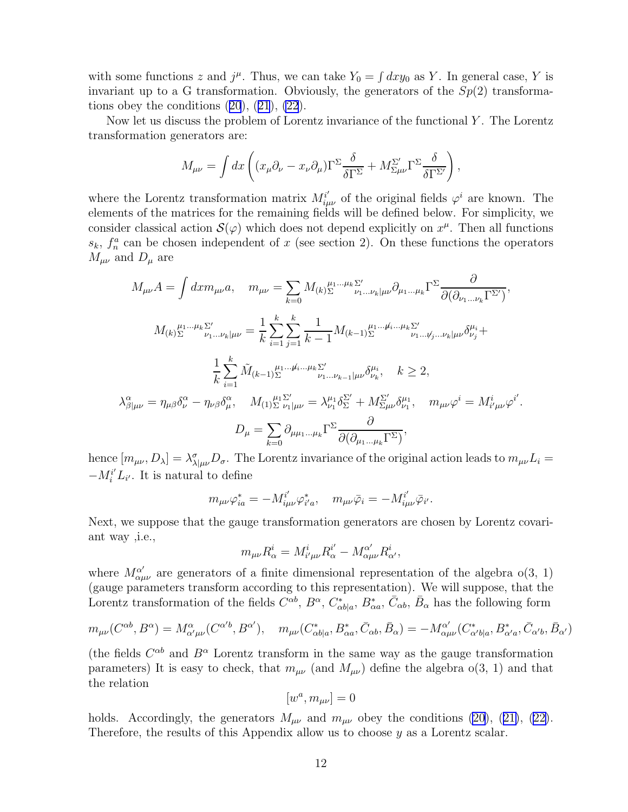with some functions z and  $j^{\mu}$ . Thus, we can take  $Y_0 = \int dx y_0$  as Y. In general case, Y is invariant up to a G transformation. Obviously, the generators of the  $Sp(2)$  transformationsobey the conditions  $(20), (21), (22)$  $(20), (21), (22)$  $(20), (21), (22)$  $(20), (21), (22)$  $(20), (21), (22)$  $(20), (21), (22)$  $(20), (21), (22)$ .

Now let us discuss the problem of Lorentz invariance of the functional  $Y$ . The Lorentz transformation generators are:

$$
M_{\mu\nu} = \int dx \left( (x_{\mu}\partial_{\nu} - x_{\nu}\partial_{\mu})\Gamma^{\Sigma} \frac{\delta}{\delta \Gamma^{\Sigma}} + M_{\Sigma\mu\nu}^{\Sigma\prime} \Gamma^{\Sigma} \frac{\delta}{\delta \Gamma^{\Sigma'}} \right),
$$

where the Lorentz transformation matrix  $M_{i\mu\nu}^{i'}$  of the original fields  $\varphi^{i}$  are known. The elements of the matrices for the remaining fields will be defined below. For simplicity, we consider classical action  $\mathcal{S}(\varphi)$  which does not depend explicitly on  $x^{\mu}$ . Then all functions  $s_k$ ,  $f_n^a$  can be chosen independent of x (see section 2). On these functions the operators  $M_{\mu\nu}$  and  $D_{\mu}$  are

$$
M_{\mu\nu}A = \int dx m_{\mu\nu}a, \quad m_{\mu\nu} = \sum_{k=0} M_{(k)} \sum_{\nu_1...\nu_k|\mu\nu}^{\nu_1...\mu_k} \partial_{\mu_1...\mu_k} \Gamma^{\Sigma} \frac{\partial}{\partial(\partial_{\nu_1...\nu_k}\Gamma^{\Sigma'})},
$$

$$
M_{(k)} \sum_{\nu_1...\nu_k|\mu\nu}^{\mu_1...\mu_k} = \frac{1}{k} \sum_{i=1}^k \sum_{j=1}^k \frac{1}{k-1} M_{(k-1)} \sum_{\nu_1...\nu_k...\nu_k}^{\mu_1...\mu_k...\mu_k} \sum_{\nu_1...\nu_j...\nu_k|\mu\nu}^{\nu_1} \delta^{\mu_i}_{\nu_j} +
$$

$$
\frac{1}{k} \sum_{i=1}^k \tilde{M}_{(k-1)} \sum_{\nu_1...\nu_k...\nu_k}^{\mu_1...\mu_k...\mu_k} \sum_{\nu_1...\nu_{k-1}|\mu\nu}^{\nu_1} \delta^{\mu_i}_{\nu_k}, \quad k \ge 2,
$$

$$
\lambda_{\beta|\mu\nu}^{\alpha} = \eta_{\mu\beta} \delta^{\alpha}_{\nu} - \eta_{\nu\beta} \delta^{\alpha}_{\mu}, \quad M_{(1)} \sum_{\nu_1|\mu\nu}^{\mu_1} = \lambda^{\mu_1}_{\nu_1} \delta^{\Sigma'}_{\nu_1} + M_{\Sigma\mu\nu}^{\Sigma'} \delta^{\mu_1}_{\nu_1}, \quad m_{\mu\nu} \varphi^i = M_{i'\mu\nu}^i \varphi^{i'}
$$

$$
D_{\mu} = \sum_{k=0}^k \partial_{\mu\mu_1...\mu_k} \Gamma^{\Sigma} \frac{\partial}{\partial(\partial_{\mu_1...\mu_k}\Gamma^{\Sigma})},
$$

.

hence  $[m_{\mu\nu}, D_{\lambda}] = \lambda_{\lambda|\mu\nu}^{\sigma} D_{\sigma}$ . The Lorentz invariance of the original action leads to  $m_{\mu\nu} L_i =$  $-M_i^{i'} L_{i'}$ . It is natural to define

$$
m_{\mu\nu}\varphi_{ia}^* = -M_{i\mu\nu}^{i'}\varphi_{i'a}^*, \quad m_{\mu\nu}\bar{\varphi}_i = -M_{i\mu\nu}^{i'}\bar{\varphi}_{i'}.
$$

Next, we suppose that the gauge transformation generators are chosen by Lorentz covariant way ,i.e.,

$$
m_{\mu\nu}R^i_\alpha = M^i_{i'\mu\nu}R^{i'}_\alpha - M^{\alpha'}_{\alpha\mu\nu}R^i_{\alpha'},
$$

where  $M_{\alpha\mu\nu}^{\alpha'}$  are generators of a finite dimensional representation of the algebra o(3, 1) (gauge parameters transform according to this representation). We will suppose, that the Lorentz transformation of the fields  $C^{\alpha b}$ ,  $B^{\alpha}$ ,  $C_{\alpha b|a}^*$ ,  $B_{\alpha a}^*$ ,  $\bar{C}_{\alpha b}$ ,  $\bar{B}_{\alpha}$  has the following form

$$
m_{\mu\nu}(C^{\alpha b}, B^{\alpha}) = M^{\alpha}_{\alpha'\mu\nu}(C^{\alpha'b}, B^{\alpha'}), \quad m_{\mu\nu}(C^{*}_{\alpha b|a}, B^{*}_{\alpha a}, \bar{C}_{\alpha b}, \bar{B}_{\alpha}) = -M^{\alpha'}_{\alpha\mu\nu}(C^{*}_{\alpha'b|a}, B^{*}_{\alpha'a}, \bar{C}_{\alpha'b}, \bar{B}_{\alpha'})
$$

(the fields  $C^{\alpha b}$  and  $B^{\alpha}$  Lorentz transform in the same way as the gauge transformation parameters) It is easy to check, that  $m_{\mu\nu}$  (and  $M_{\mu\nu}$ ) define the algebra  $o(3, 1)$  and that the relation

$$
[w^a,m_{\mu\nu}]=0
$$

holds.Accordingly, the generators  $M_{\mu\nu}$  and  $m_{\mu\nu}$  obey the conditions [\(20](#page-10-0)), ([21\)](#page-10-0), [\(22\)](#page-10-0). Therefore, the results of this Appendix allow us to choose y as a Lorentz scalar.